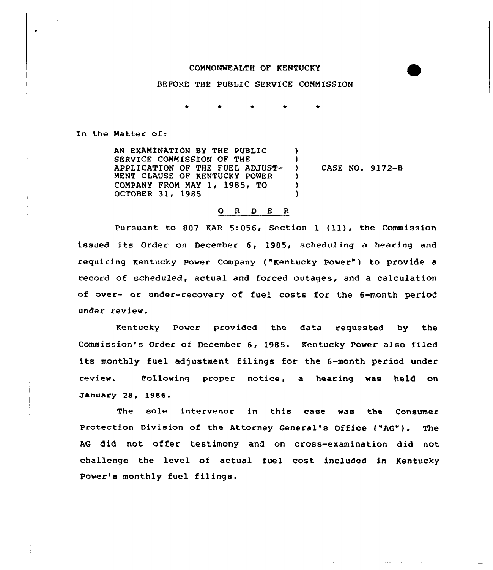## COMMONNEALTH OF KENTUCKY

## BEFORE THE PUBLIC SERVICE COMMISSION

In the Matter of:

AN EXAMINATION BY THE PUBLIC ) SERVICE COMMISSION OF THE APPLICATION OF THE FUEL ADJUST- ) MENT CLAUSE OF KENTUCKY POWER ) COMPANY FROM MAY 1, 1985, TO OCTOBER 31, 1985 ) CASE NO. 9172-B

## 0 R <sup>D</sup> E <sup>R</sup>

Pursuant to 807 KAR 5:056, Section <sup>1</sup> (11), the Commission issued its Order on December 6, 1985, scheduling a hearing and requiring Kentucky Power Company ("Kentucky Power") to provide a record of scheduled, actual and forced outages, and a calculation of over- or under-recovery of fuel costs for the 6-month period under review.

Kentucky Power provided the data requested by the Commission's Order of December 6, 1985. Kentucky Power also filed its monthly fuel adjustment filings for the 6-month period under review. Following proper notice, a hearing was held on January 28, 1986.

The sole intervenor in this case was the Consumer Protection Division of the Attorney General's Office ("AG"). The AG did not offer testimony and on cross-examination did not challenge the level of actual fuel cost included in Kentucky Power's monthly fuel filings.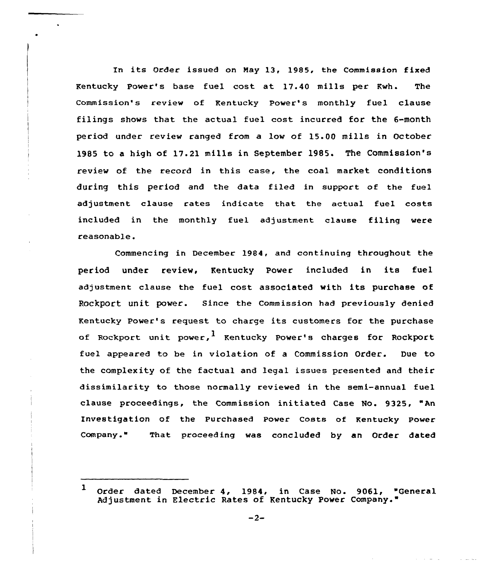In its Order issued on May 13, 1985, the Commission fixed Kentucky Power's base fuel cost at 17.40 mills per Kwh. The commission's review of Kentucky power's monthly fuel clause filings shows that the actual fuel cost incurred for the 6-month period under review ranged from a low of 15.00 mills in October 1985 to a high of 17.21 mills in September 1985. The Commission's review of the record in this case, the coal market conditions during this period and the data filed in support of the fuel adjustment clause rates indicate that the actual fuel costs included in the monthly fuel adjustment clause filing were reasonable.

Commencing in December 1984, and continuing throughout the period under review, Kentucky Power included in its fuel adjustment clause the fuel cost associated with its purchase of Rockport unit power. since the Commission had previously denied Kentucky Power's request to charge its customers for the purchase of Rockport unit power,  $1$  Kentucky Power's charges for Rockport fuel appeared to be in violation of a Commission Order. Due to the complexity of the factual and legal issues presented and their dissimilarity to those normally reviewed in the semi-annual fuel clause proceedings, the Commission initiated Case No. 9325, "An Investigation of the Purchased Power Costs of Kentucky power Company." That proceeding was concluded by an Order dated

 $\mathbf{1}$ Order dated December 4, 1984, in Case No. 9061, "General Adjustment in Electric Rates of Kentucky Power Company.